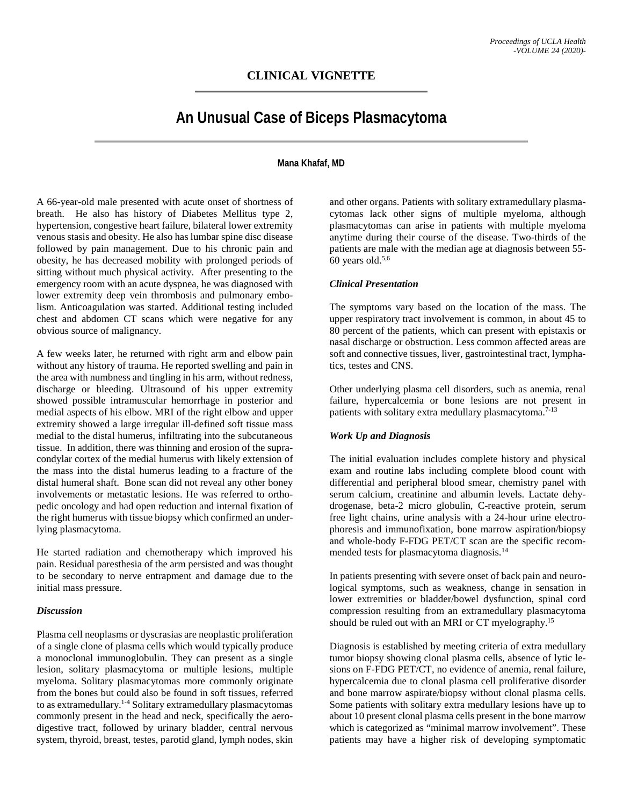## **CLINICAL VIGNETTE**

# **An Unusual Case of Biceps Plasmacytoma**

#### **Mana Khafaf, MD**

A 66-year-old male presented with acute onset of shortness of breath. He also has history of Diabetes Mellitus type 2, hypertension, congestive heart failure, bilateral lower extremity venous stasis and obesity. He also has lumbar spine disc disease followed by pain management. Due to his chronic pain and obesity, he has decreased mobility with prolonged periods of sitting without much physical activity. After presenting to the emergency room with an acute dyspnea, he was diagnosed with lower extremity deep vein thrombosis and pulmonary embolism. Anticoagulation was started. Additional testing included chest and abdomen CT scans which were negative for any obvious source of malignancy.

A few weeks later, he returned with right arm and elbow pain without any history of trauma. He reported swelling and pain in the area with numbness and tingling in his arm, without redness, discharge or bleeding. Ultrasound of his upper extremity showed possible intramuscular hemorrhage in posterior and medial aspects of his elbow. MRI of the right elbow and upper extremity showed a large irregular ill-defined soft tissue mass medial to the distal humerus, infiltrating into the subcutaneous tissue. In addition, there was thinning and erosion of the supracondylar cortex of the medial humerus with likely extension of the mass into the distal humerus leading to a fracture of the distal humeral shaft. Bone scan did not reveal any other boney involvements or metastatic lesions. He was referred to orthopedic oncology and had open reduction and internal fixation of the right humerus with tissue biopsy which confirmed an underlying plasmacytoma.

He started radiation and chemotherapy which improved his pain. Residual paresthesia of the arm persisted and was thought to be secondary to nerve entrapment and damage due to the initial mass pressure.

#### *Discussion*

Plasma cell neoplasms or dyscrasias are neoplastic proliferation of a single clone of plasma cells which would typically produce a monoclonal immunoglobulin. They can present as a single lesion, solitary plasmacytoma or multiple lesions, multiple myeloma. Solitary plasmacytomas more commonly originate from the bones but could also be found in soft tissues, referred to as extramedullary.1-4 Solitary extramedullary plasmacytomas commonly present in the head and neck, specifically the aerodigestive tract, followed by urinary bladder, central nervous system, thyroid, breast, testes, parotid gland, lymph nodes, skin and other organs. Patients with solitary extramedullary plasmacytomas lack other signs of multiple myeloma, although plasmacytomas can arise in patients with multiple myeloma anytime during their course of the disease. Two-thirds of the patients are male with the median age at diagnosis between 55-  $60$  years old.<sup>5,6</sup>

#### *Clinical Presentation*

The symptoms vary based on the location of the mass. The upper respiratory tract involvement is common, in about 45 to 80 percent of the patients, which can present with epistaxis or nasal discharge or obstruction. Less common affected areas are soft and connective tissues, liver, gastrointestinal tract, lymphatics, testes and CNS.

Other underlying plasma cell disorders, such as anemia, renal failure, hypercalcemia or bone lesions are not present in patients with solitary extra medullary plasmacytoma.<sup>7-13</sup>

### *Work Up and Diagnosis*

The initial evaluation includes complete history and physical exam and routine labs including complete blood count with differential and peripheral blood smear, chemistry panel with serum calcium, creatinine and albumin levels. Lactate dehydrogenase, beta-2 micro globulin, C-reactive protein, serum free light chains, urine analysis with a 24-hour urine electrophoresis and immunofixation, bone marrow aspiration/biopsy and whole-body F-FDG PET/CT scan are the specific recommended tests for plasmacytoma diagnosis.14

In patients presenting with severe onset of back pain and neurological symptoms, such as weakness, change in sensation in lower extremities or bladder/bowel dysfunction, spinal cord compression resulting from an extramedullary plasmacytoma should be ruled out with an MRI or CT myelography.<sup>15</sup>

Diagnosis is established by meeting criteria of extra medullary tumor biopsy showing clonal plasma cells, absence of lytic lesions on F-FDG PET/CT, no evidence of anemia, renal failure, hypercalcemia due to clonal plasma cell proliferative disorder and bone marrow aspirate/biopsy without clonal plasma cells. Some patients with solitary extra medullary lesions have up to about 10 present clonal plasma cells present in the bone marrow which is categorized as "minimal marrow involvement". These patients may have a higher risk of developing symptomatic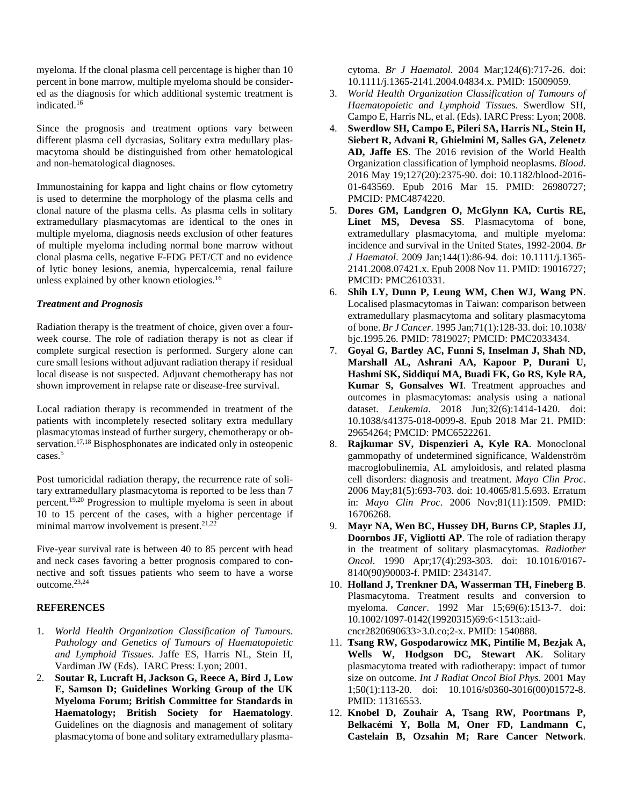myeloma. If the clonal plasma cell percentage is higher than 10 percent in bone marrow, multiple myeloma should be considered as the diagnosis for which additional systemic treatment is indicated.16

Since the prognosis and treatment options vary between different plasma cell dycrasias, Solitary extra medullary plasmacytoma should be distinguished from other hematological and non-hematological diagnoses.

Immunostaining for kappa and light chains or flow cytometry is used to determine the morphology of the plasma cells and clonal nature of the plasma cells. As plasma cells in solitary extramedullary plasmacytomas are identical to the ones in multiple myeloma, diagnosis needs exclusion of other features of multiple myeloma including normal bone marrow without clonal plasma cells, negative F-FDG PET/CT and no evidence of lytic boney lesions, anemia, hypercalcemia, renal failure unless explained by other known etiologies.16

#### *Treatment and Prognosis*

Radiation therapy is the treatment of choice, given over a fourweek course. The role of radiation therapy is not as clear if complete surgical resection is performed. Surgery alone can cure small lesions without adjuvant radiation therapy if residual local disease is not suspected. Adjuvant chemotherapy has not shown improvement in relapse rate or disease-free survival.

Local radiation therapy is recommended in treatment of the patients with incompletely resected solitary extra medullary plasmacytomas instead of further surgery, chemotherapy or observation.<sup>17,18</sup> Bisphosphonates are indicated only in osteopenic cases.5

Post tumoricidal radiation therapy, the recurrence rate of solitary extramedullary plasmacytoma is reported to be less than 7 percent.19,20 Progression to multiple myeloma is seen in about 10 to 15 percent of the cases, with a higher percentage if minimal marrow involvement is present. $21,22$ 

Five-year survival rate is between 40 to 85 percent with head and neck cases favoring a better prognosis compared to connective and soft tissues patients who seem to have a worse outcome.23,24

### **REFERENCES**

- 1. *World Health Organization Classification of Tumours. Pathology and Genetics of Tumours of Haematopoietic and Lymphoid Tissues*. Jaffe ES, Harris NL, Stein H, Vardiman JW (Eds). IARC Press: Lyon; 2001.
- 2. **Soutar R, Lucraft H, Jackson G, Reece A, Bird J, Low E, Samson D; Guidelines Working Group of the UK Myeloma Forum; British Committee for Standards in Haematology; British Society for Haematology**. Guidelines on the diagnosis and management of solitary plasmacytoma of bone and solitary extramedullary plasma-

cytoma. *Br J Haematol*. 2004 Mar;124(6):717-26. doi: 10.1111/j.1365-2141.2004.04834.x. PMID: 15009059.

- 3. *World Health Organization Classification of Tumours of Haematopoietic and Lymphoid Tissue*s. Swerdlow SH, Campo E, Harris NL, et al. (Eds). IARC Press: Lyon; 2008.
- 4. **Swerdlow SH, Campo E, Pileri SA, Harris NL, Stein H, Siebert R, Advani R, Ghielmini M, Salles GA, Zelenetz AD, Jaffe ES**. The 2016 revision of the World Health Organization classification of lymphoid neoplasms. *Blood*. 2016 May 19;127(20):2375-90. doi: 10.1182/blood-2016- 01-643569. Epub 2016 Mar 15. PMID: 26980727; PMCID: PMC4874220.
- 5. **Dores GM, Landgren O, McGlynn KA, Curtis RE, Linet MS, Devesa SS**. Plasmacytoma of bone, extramedullary plasmacytoma, and multiple myeloma: incidence and survival in the United States, 1992-2004. *Br J Haematol*. 2009 Jan;144(1):86-94. doi: 10.1111/j.1365- 2141.2008.07421.x. Epub 2008 Nov 11. PMID: 19016727; PMCID: PMC2610331.
- 6. **Shih LY, Dunn P, Leung WM, Chen WJ, Wang PN**. Localised plasmacytomas in Taiwan: comparison between extramedullary plasmacytoma and solitary plasmacytoma of bone. *Br J Cancer*. 1995 Jan;71(1):128-33. doi: 10.1038/ bjc.1995.26. PMID: 7819027; PMCID: PMC2033434.
- 7. **Goyal G, Bartley AC, Funni S, Inselman J, Shah ND, Marshall AL, Ashrani AA, Kapoor P, Durani U, Hashmi SK, Siddiqui MA, Buadi FK, Go RS, Kyle RA, Kumar S, Gonsalves WI**. Treatment approaches and outcomes in plasmacytomas: analysis using a national dataset. *Leukemia*. 2018 Jun;32(6):1414-1420. doi: 10.1038/s41375-018-0099-8. Epub 2018 Mar 21. PMID: 29654264; PMCID: PMC6522261.
- 8. **Rajkumar SV, Dispenzieri A, Kyle RA**. Monoclonal gammopathy of undetermined significance, Waldenström macroglobulinemia, AL amyloidosis, and related plasma cell disorders: diagnosis and treatment. *Mayo Clin Proc*. 2006 May;81(5):693-703. doi: 10.4065/81.5.693. Erratum in: *Mayo Clin Proc*. 2006 Nov;81(11):1509. PMID: 16706268.
- 9. **Mayr NA, Wen BC, Hussey DH, Burns CP, Staples JJ, Doornbos JF, Vigliotti AP**. The role of radiation therapy in the treatment of solitary plasmacytomas. *Radiother Oncol*. 1990 Apr;17(4):293-303. doi: 10.1016/0167- 8140(90)90003-f. PMID: 2343147.
- 10. **Holland J, Trenkner DA, Wasserman TH, Fineberg B**. Plasmacytoma. Treatment results and conversion to myeloma. *Cancer*. 1992 Mar 15;69(6):1513-7. doi: 10.1002/1097-0142(19920315)69:6<1513::aidcncr2820690633>3.0.co;2-x. PMID: 1540888.
- 11. **Tsang RW, Gospodarowicz MK, Pintilie M, Bezjak A, Wells W, Hodgson DC, Stewart AK**. Solitary plasmacytoma treated with radiotherapy: impact of tumor size on outcome. *Int J Radiat Oncol Biol Phys*. 2001 May 1;50(1):113-20. doi: 10.1016/s0360-3016(00)01572-8. PMID: 11316553.
- 12. **Knobel D, Zouhair A, Tsang RW, Poortmans P, Belkacémi Y, Bolla M, Oner FD, Landmann C, Castelain B, Ozsahin M; Rare Cancer Network**.